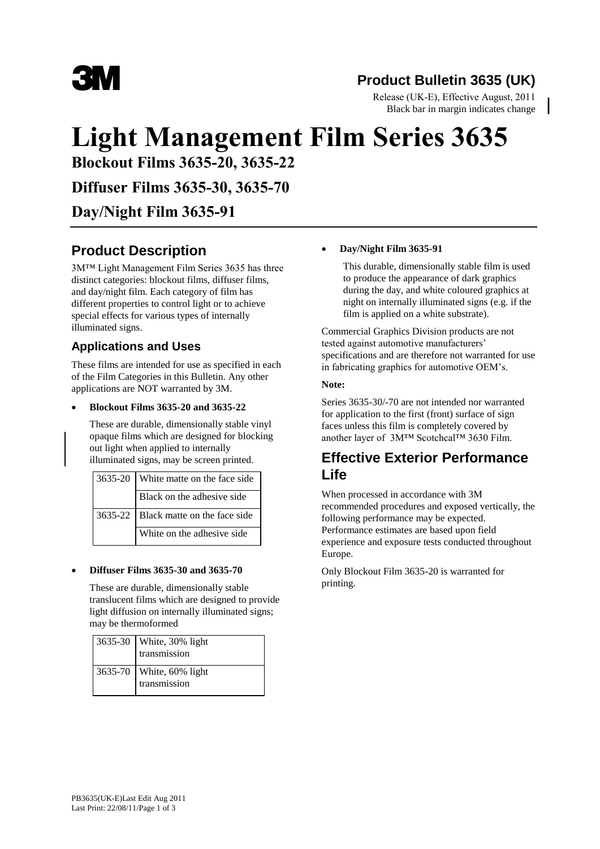

# **Product Bulletin 3635 (UK)**

Release (UK-E), Effective August, 2011 Black bar in margin indicates change

# **Light Management Film Series 3635**

**Blockout Films 3635-20, 3635-22** 

**Diffuser Films 3635-30, 3635-70**

# **Day/Night Film 3635-91**

# **Product Description**

3M™ Light Management Film Series 3635 has three distinct categories: blockout films, diffuser films, and day/night film. Each category of film has different properties to control light or to achieve special effects for various types of internally illuminated signs.

### **Applications and Uses**

These films are intended for use as specified in each of the Film Categories in this Bulletin. Any other applications are NOT warranted by 3M.

#### **Blockout Films 3635-20 and 3635-22**

These are durable, dimensionally stable vinyl opaque films which are designed for blocking out light when applied to internally illuminated signs, may be screen printed.

| $3635-20$ White matte on the face side |
|----------------------------------------|
| Black on the adhesive side             |
| 3635-22   Black matte on the face side |
| White on the adhesive side             |

#### **Diffuser Films 3635-30 and 3635-70**

These are durable, dimensionally stable translucent films which are designed to provide light diffusion on internally illuminated signs; may be thermoformed

| 3635-30   White, 30% light<br>transmission |
|--------------------------------------------|
| 3635-70   White, 60% light<br>transmission |

#### **Day/Night Film 3635-91**

This durable, dimensionally stable film is used to produce the appearance of dark graphics during the day, and white coloured graphics at night on internally illuminated signs (e.g. if the film is applied on a white substrate).

Commercial Graphics Division products are not tested against automotive manufacturers' specifications and are therefore not warranted for use in fabricating graphics for automotive OEM's.

#### **Note:**

Series 3635-30/-70 are not intended nor warranted for application to the first (front) surface of sign faces unless this film is completely covered by another layer of 3M™ Scotchcal™ 3630 Film.

## **Effective Exterior Performance Life**

When processed in accordance with 3M recommended procedures and exposed vertically, the following performance may be expected. Performance estimates are based upon field experience and exposure tests conducted throughout Europe.

Only Blockout Film 3635-20 is warranted for printing.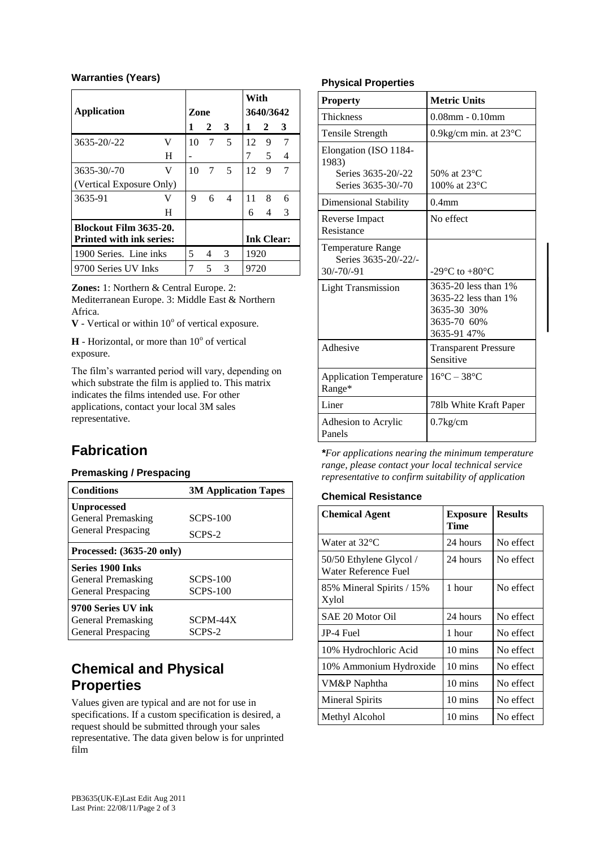#### **Warranties (Years)**

|                                 |   |      |   |                | With              |                |               |
|---------------------------------|---|------|---|----------------|-------------------|----------------|---------------|
| <b>Application</b>              |   | Zone |   |                | 3640/3642         |                |               |
|                                 |   |      | 2 | - 3            | 1                 | $\overline{2}$ | 3             |
| $3635 - 20/ -22$                | V | 10   | 7 | $\sqrt{5}$     | 12                | 9              | 7             |
|                                 | H |      |   |                | 7                 | 5              | 4             |
| 3635-30/-70                     | V | 10   | 7 | 5              | 12                | 9              | 7             |
| (Vertical Exposure Only)        |   |      |   |                |                   |                |               |
| 3635-91                         | V | 9    | 6 | $\overline{4}$ | 11                | 8              | 6             |
|                                 | H |      |   |                | 6                 | 4              | $\mathcal{R}$ |
| Blockout Film 3635-20.          |   |      |   |                |                   |                |               |
| <b>Printed with ink series:</b> |   |      |   |                | <b>Ink Clear:</b> |                |               |
| 1900 Series. Line inks          |   | 5    | 4 | 3              | 1920              |                |               |
| 9700 Series UV Inks             |   |      | 5 | 3              | 9720              |                |               |

**Zones:** 1: Northern & Central Europe. 2: Mediterranean Europe. 3: Middle East & Northern

Africa.

 $V$  - Vertical or within  $10^{\circ}$  of vertical exposure.

 $H$  - Horizontal, or more than  $10^{\circ}$  of vertical exposure.

The film's warranted period will vary, depending on which substrate the film is applied to. This matrix indicates the films intended use. For other applications, contact your local 3M sales representative.

# **Fabrication**

#### **Premasking / Prespacing**

| <b>Conditions</b>         | <b>3M Application Tapes</b> |
|---------------------------|-----------------------------|
| <b>Unprocessed</b>        |                             |
| General Premasking        | <b>SCPS-100</b>             |
| General Prespacing        | SCPS-2                      |
| Processed: (3635-20 only) |                             |
| <b>Series 1900 Inks</b>   |                             |
| General Premasking        | <b>SCPS-100</b>             |
| <b>General Prespacing</b> | <b>SCPS-100</b>             |
| 9700 Series UV ink        |                             |
| General Premasking        | SCPM-44X                    |
| General Prespacing        | SCPS-2                      |

# **Chemical and Physical Properties**

Values given are typical and are not for use in specifications. If a custom specification is desired, a request should be submitted through your sales representative. The data given below is for unprinted film

#### **Physical Properties**

| <b>Property</b>                                                  | <b>Metric Units</b>                                                                       |  |  |
|------------------------------------------------------------------|-------------------------------------------------------------------------------------------|--|--|
| <b>Thickness</b>                                                 | $0.08$ mm - $0.10$ mm                                                                     |  |  |
| Tensile Strength                                                 | 0.9 kg/cm min. at $23^{\circ}$ C                                                          |  |  |
| Elongation (ISO 1184-<br>1983)                                   |                                                                                           |  |  |
| Series 3635-20/-22<br>Series 3635-30/-70                         | 50% at $23^{\circ}$ C<br>100% at $23^{\circ}$ C                                           |  |  |
| Dimensional Stability                                            | 0.4 <sub>mm</sub>                                                                         |  |  |
| Reverse Impact<br>Resistance                                     | No effect                                                                                 |  |  |
| <b>Temperature Range</b><br>Series 3635-20/-22/-<br>$30/-70/-91$ | -29 $\rm{^{\circ}C}$ to +80 $\rm{^{\circ}C}$                                              |  |  |
| <b>Light Transmission</b>                                        | 3635-20 less than 1%<br>3635-22 less than 1%<br>3635-30 30%<br>3635-70 60%<br>3635-91 47% |  |  |
| Adhesive                                                         | <b>Transparent Pressure</b><br>Sensitive                                                  |  |  |
| <b>Application Temperature</b><br>Range*                         | $16^{\circ}$ C – 38 $^{\circ}$ C                                                          |  |  |
| Liner                                                            | 781b White Kraft Paper                                                                    |  |  |
| Adhesion to Acrylic<br>Panels                                    | $0.7$ kg/cm                                                                               |  |  |

*\*For applications nearing the minimum temperature range, please contact your local technical service representative to confirm suitability of application*

#### **Chemical Resistance**

| <b>Chemical Agent</b>                           | <b>Exposure</b><br>Time | <b>Results</b> |
|-------------------------------------------------|-------------------------|----------------|
| Water at 32°C                                   | 24 hours                | No effect      |
| 50/50 Ethylene Glycol /<br>Water Reference Fuel | 24 hours                | No effect      |
| 85% Mineral Spirits / 15%<br>Xylol              | 1 hour                  | No effect      |
| SAE 20 Motor Oil                                | 24 hours                | No effect      |
| JP-4 Fuel                                       | 1 hour                  | No effect      |
| 10% Hydrochloric Acid                           | $10 \text{ mins}$       | No effect      |
| 10% Ammonium Hydroxide                          | $10 \text{ mins}$       | No effect      |
| VM&P Naphtha                                    | $10 \text{ mins}$       | No effect      |
| Mineral Spirits                                 | 10 mins                 | No effect      |
| Methyl Alcohol                                  | 10 mins                 | No effect      |